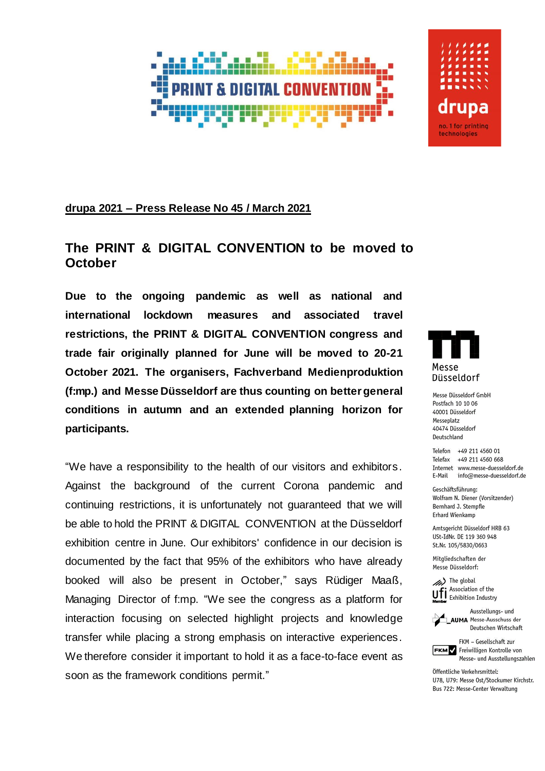

## **drupa 2021 – Press Release No 45 / March 2021**

## **The PRINT & DIGITAL CONVENTION to be moved to October**

**Due to the ongoing pandemic as well as national and international lockdown measures and associated travel restrictions, the PRINT & DIGITAL CONVENTION congress and trade fair originally planned for June will be moved to 20-21 October 2021. The organisers, Fachverband Medienproduktion (f:mp.) and Messe Düsseldorf are thus counting on better general conditions in autumn and an extended planning horizon for participants.**

"We have a responsibility to the health of our visitors and exhibitors. Against the background of the current Corona pandemic and continuing restrictions, it is unfortunately not guaranteed that we will be able to hold the PRINT & DIGITAL CONVENTION at the Düsseldorf exhibition centre in June. Our exhibitors' confidence in our decision is documented by the fact that 95% of the exhibitors who have already booked will also be present in October," says Rüdiger Maaß, Managing Director of f:mp. "We see the congress as a platform for interaction focusing on selected highlight projects and knowledge transfer while placing a strong emphasis on interactive experiences. We therefore consider it important to hold it as a face-to-face event as soon as the framework conditions permit."

Messe Düsseldorf

drupa

no. 1 for printing technologies

Messe Düsseldorf GmbH Postfach 10 10 06 40001 Düsseldorf Messeplatz 40474 Düsseldorf Deutschland

Telefon +49 211 4560 01 Telefax +49 211 4560 668 Internet www.messe-duesseldorf.de E-Mail info@messe-duesseldorf.de

Geschäftsführung: Wolfram N. Diener (Vorsitzender) Bernhard J. Stempfle **Erhard Wienkamp** 

Amtsgericht Düsseldorf HRB 63 USt-IdNr. DE 119 360 948 St.Nr. 105/5830/0663

Mitgliedschaften der Messe Düsseldorf:

(b) The global Association of the **U.F.** Association of the<br>Member<br>Member





FKM - Gesellschaft zur FKM Freiwilligen Kontrolle von Messe- und Ausstellungszahlen

Öffentliche Verkehrsmittel: U78, U79: Messe Ost/Stockumer Kirchstr. Bus 722: Messe-Center Verwaltung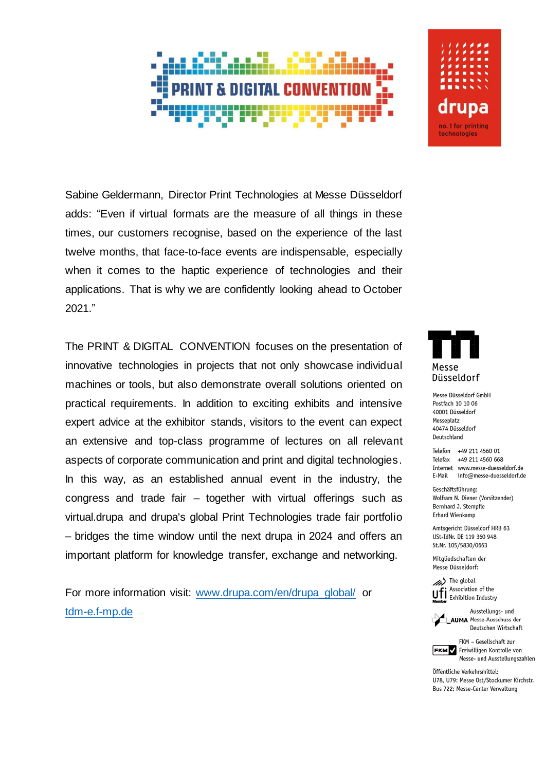Sabine Geldermann, Director Print Technologies at Messe Düsseldorf adds: "Even if virtual formats are the measure of all things in these times, our customers recognise, based on the experience of the last twelve months, that face-to-face events are indispensable, especially when it comes to the haptic experience of technologies and their applications. That is why we are confidently looking ahead to October 2021."

The PRINT & DIGITAL CONVENTION focuses on the presentation of innovative technologies in projects that not only showcase individual machines or tools, but also demonstrate overall solutions oriented on practical requirements. In addition to exciting exhibits and intensive expert advice at the exhibitor stands, visitors to the event can expect an extensive and top-class programme of lectures on all relevant aspects of corporate communication and print and digital technologies. In this way, as an established annual event in the industry, the congress and trade fair - together with virtual offerings such as virtual.drupa and drupa's global Print Technologies trade fair portfolio - bridges the time window until the next drupa in 2024 and offers an important platform for knowledge transfer, exchange and networking.

For more information visit: www.drupa.com/en/drupa\_global/ or tdm-e.f-mp.de



drupa no. 1 for printing technologies

Messe Düsseldorf GmbH Postfach 10 10 06 40001 Düsseldorf Messeplatz 40474 Düsseldorf Deutschland

Telefon +49 211 4560 01 Telefax +49 211 4560 668 Internet www.messe-duesseldorf.de E-Mail info@messe-duesseldorf.de

Geschäftsführung: Wolfram N. Diener (Vorsitzender) Bernhard J. Stempfle **Erhard Wienkamp** 

Amtsgericht Düsseldorf HRB 63 USt-IdNr. DE 119 360 948 St.Nr. 105/5830/0663

Mitgliedschaften der Messe Düsseldorf:





Ausstellungs- und **AUMA** Messe-Ausschuss der Deutschen Wirtschaft

FKM - Gesellschaft zur FKM Freiwilligen Kontrolle von Messe- und Ausstellungszahlen

Öffentliche Verkehrsmittel: U78, U79: Messe Ost/Stockumer Kirchstr. Bus 722: Messe-Center Verwaltung